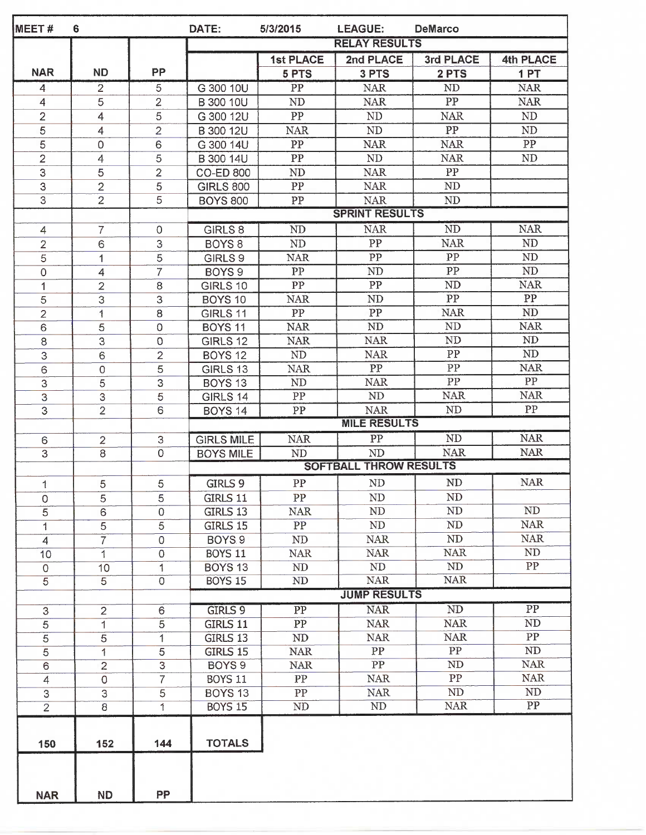| MEET#                     | 6                         |                     | DATE:                | 5/3/2015            | <b>LEAGUE:</b>                | <b>DeMarco</b>  |                  |  |  |
|---------------------------|---------------------------|---------------------|----------------------|---------------------|-------------------------------|-----------------|------------------|--|--|
|                           |                           |                     | <b>RELAY RESULTS</b> |                     |                               |                 |                  |  |  |
|                           |                           |                     |                      | <b>1st PLACE</b>    | 2nd PLACE                     | 3rd PLACE       | <b>4th PLACE</b> |  |  |
| <b>NAR</b>                | <b>ND</b>                 | PP                  |                      | 5 PTS               | 3 PTS                         | 2 PTS           | 1PT              |  |  |
| 4                         | 2                         | 5                   | G 300 10U            | PP                  | <b>NAR</b>                    | ND              | <b>NAR</b>       |  |  |
| 4                         | 5                         | 2                   | B 300 10U            | ND                  | <b>NAR</b>                    | PP              | <b>NAR</b>       |  |  |
| $\overline{2}$            | 4                         | 5                   | G 300 12U            | PP                  | ${\rm ND}$                    | <b>NAR</b>      | ${\rm ND}$       |  |  |
| 5                         | 4                         | $\overline{2}$      | B 300 12U            | <b>NAR</b>          | $\rm ND$                      | PP              | ND               |  |  |
| $\overline{5}$            | 0                         | 6                   | G 300 14U            | PP                  | <b>NAR</b>                    | <b>NAR</b>      | PP               |  |  |
| $\overline{2}$            | 4                         | 5                   | B 300 14U            | PP                  | ND                            | <b>NAR</b>      | ND               |  |  |
| $\overline{3}$            | 5                         | $\overline{2}$      | <b>CO-ED 800</b>     | ND                  | <b>NAR</b>                    | PP              |                  |  |  |
| 3                         | $\overline{2}$            | $\mathfrak s$       | <b>GIRLS 800</b>     | ${\cal PP}$         | <b>NAR</b>                    | ND              |                  |  |  |
| $\overline{3}$            | $\overline{2}$            | 5                   | <b>BOYS 800</b>      | PP                  | <b>NAR</b>                    | ND              |                  |  |  |
|                           |                           |                     |                      |                     | <b>SPRINT RESULTS</b>         |                 |                  |  |  |
| 4                         | $\overline{7}$            | $\mathsf{O}\xspace$ | <b>GIRLS 8</b>       | <b>ND</b>           | <b>NAR</b>                    | <b>ND</b>       | <b>NAR</b>       |  |  |
| $\overline{2}$            | 6                         | 3                   | BOYS <sub>8</sub>    | $\rm ND$            | PP                            | <b>NAR</b>      | <b>ND</b>        |  |  |
| 5                         | 1                         | $\overline{5}$      | GIRLS <sub>9</sub>   | <b>NAR</b>          | PP                            | ${\rm PP}$      | ND               |  |  |
| $\mathsf{O}\xspace$       | 4                         | $\overline{7}$      | BOYS <sub>9</sub>    | PP                  | ND                            | PP              | ND               |  |  |
| 1                         | $\overline{2}$            | 8                   | <b>GIRLS 10</b>      | PP                  | PP                            | <b>ND</b>       | <b>NAR</b>       |  |  |
| 5                         | 3                         | 3                   | <b>BOYS 10</b>       | NAR.                | ND                            | $\overline{PP}$ | ${\rm PP}$       |  |  |
| $\overline{c}$            | $\mathbf{1}$              | 8                   | GIRLS 11             | PP                  | PP                            | <b>NAR</b>      | ND               |  |  |
| $\overline{6}$            | 5                         | $\overline{0}$      | <b>BOYS 11</b>       | <b>NAR</b>          | ND                            | <b>ND</b>       | <b>NAR</b>       |  |  |
| 8                         | 3                         | $\Omega$            | <b>GIRLS 12</b>      | <b>NAR</b>          | <b>NAR</b>                    | ND              | $\mbox{\sc ND}$  |  |  |
| 3                         | $\mathbf 6$               | $\overline{2}$      | <b>BOYS 12</b>       | $\rm ND$            | <b>NAR</b>                    | PP              | $\rm ND$         |  |  |
| 6                         | $\mathsf O$               | 5                   | GIRLS 13             | <b>NAR</b>          | PP                            | PP              | <b>NAR</b>       |  |  |
| $\ensuremath{\mathsf{3}}$ | 5                         | 3                   | <b>BOYS 13</b>       | ND                  | <b>NAR</b>                    | PP              | PP               |  |  |
| $\overline{3}$            | $\ensuremath{\mathsf{3}}$ | 5                   | GIRLS 14             | PP                  | $\rm ND$                      | <b>NAR</b>      | <b>NAR</b>       |  |  |
| 3                         | $\overline{2}$            | 6                   | <b>BOYS 14</b>       | PP                  | <b>NAR</b>                    | ND              | ${\rm PP}$       |  |  |
|                           |                           |                     |                      |                     | <b>MILE RESULTS</b>           |                 |                  |  |  |
| 6                         | $\overline{2}$            | 3                   | <b>GIRLS MILE</b>    | <b>NAR</b>          | PP                            | ND              | <b>NAR</b>       |  |  |
| $\overline{3}$            | $\overline{8}$            | $\overline{0}$      | <b>BOYS MILE</b>     | <b>ND</b>           | <b>ND</b>                     | <b>NAR</b>      | <b>NAR</b>       |  |  |
|                           |                           |                     |                      |                     | <b>SOFTBALL THROW RESULTS</b> |                 |                  |  |  |
| 1                         | 5                         | 5                   | <b>GIRLS 9</b>       | PP                  | ND                            | ND              | <b>NAR</b>       |  |  |
| 0                         | 5                         | 5                   | GIRLS 11             | PP                  | ND                            | ND              |                  |  |  |
| 5                         | $\overline{6}$            | $\mathbf 0$         | GIRLS 13             | <b>NAR</b>          | ND                            | ND              | ND               |  |  |
| 1                         | $\overline{5}$            | $\overline{5}$      | GIRLS 15             | PP                  | ND                            | ND              | <b>NAR</b>       |  |  |
| $\overline{4}$            | $\overline{7}$            | $\mathsf 0$         | BOYS.9               | ND                  | <b>NAR</b>                    | $\rm ND$        | <b>NAR</b>       |  |  |
| 10                        | 1                         | $\mathsf 0$         | <b>BOYS 11</b>       | <b>NAR</b>          | <b>NAR</b>                    | <b>NAR</b>      | ND               |  |  |
| $\mathbf 0$               | 10 <sup>°</sup>           | 1                   | <b>BOYS 13</b>       | ND                  | ND                            | N <sub>D</sub>  | PP               |  |  |
| $\overline{5}$            | $\overline{5}$            | $\overline{0}$      | <b>BOYS 15</b>       | ND                  | <b>NAR</b>                    | <b>NAR</b>      |                  |  |  |
|                           |                           |                     |                      | <b>JUMP RESULTS</b> |                               |                 |                  |  |  |
| 3                         | $\overline{2}$            | 6                   | <b>GIRLS 9</b>       | $\overline{PP}$     | <b>NAR</b>                    | ND              | $\overline{PP}$  |  |  |
| $\overline{5}$            | $\overline{1}$            | $\overline{5}$      | <b>GIRLS 11</b>      | PP                  | <b>NAR</b>                    | <b>NAR</b>      | <b>ND</b>        |  |  |
| $\overline{5}$            | $\overline{5}$            | $\mathbf{1}$        | GIRLS 13             | ND                  | <b>NAR</b>                    | <b>NAR</b>      | PP               |  |  |
| 5                         | 1                         | $\overline{5}$      | GIRLS 15             | <b>NAR</b>          | PP                            | PP              | ${\rm ND}$       |  |  |
| 6                         | $\overline{2}$            | $\overline{3}$      | BOYS <sub>9</sub>    | <b>NAR</b>          | PP                            | ND              | <b>NAR</b>       |  |  |
| $\overline{4}$            | $\overline{0}$            | $\overline{7}$      | <b>BOYS 11</b>       | PP                  | <b>NAR</b>                    | ${\rm PP}$      | <b>NAR</b>       |  |  |
| 3                         | 3                         | $\overline{5}$      | <b>BOYS 13</b>       | PP                  | <b>NAR</b>                    | ND              | ND               |  |  |
| $\overline{2}$            | $\overline{8}$            | $\overline{1}$      | <b>BOYS 15</b>       | ND                  | ND                            | <b>NAR</b>      | $\overline{PP}$  |  |  |
|                           |                           |                     |                      |                     |                               |                 |                  |  |  |
|                           |                           |                     |                      |                     |                               |                 |                  |  |  |
| 150                       | 152                       | 144                 | <b>TOTALS</b>        |                     |                               |                 |                  |  |  |
|                           |                           |                     |                      |                     |                               |                 |                  |  |  |
|                           |                           |                     |                      |                     |                               |                 |                  |  |  |
| <b>NAR</b>                | <b>ND</b>                 | <b>PP</b>           |                      |                     |                               |                 |                  |  |  |
|                           |                           |                     |                      |                     |                               |                 |                  |  |  |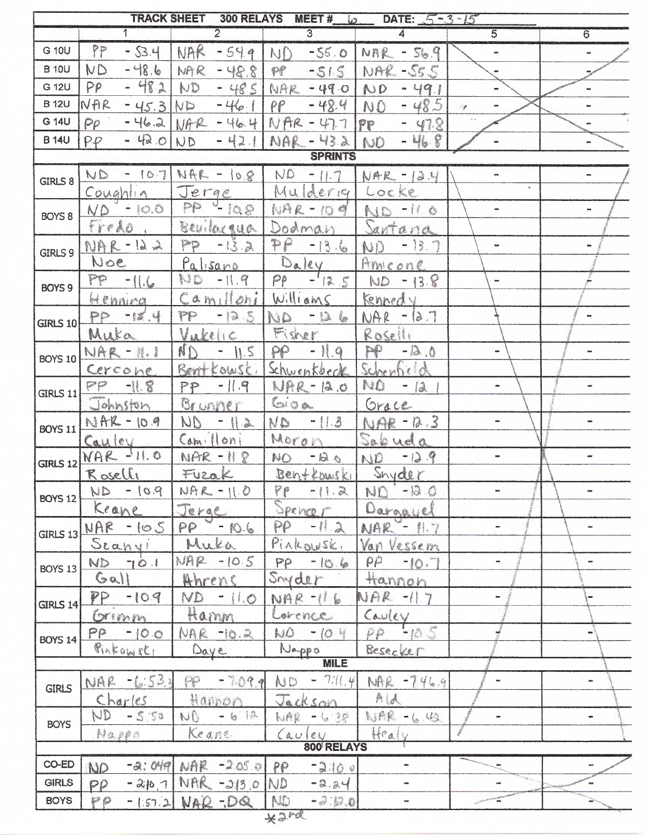|                   |                     |                           |                        | TRACK SHEET 300 RELAYS MEET # 6 DATE: 5-3-15 |                              |                              |
|-------------------|---------------------|---------------------------|------------------------|----------------------------------------------|------------------------------|------------------------------|
|                   | $\overline{1}$      | $\overline{2}$            | $\overline{3}$         | $\overline{4}$                               | $\overline{5}$               | 6                            |
| G 10U             | PP<br>$-53.4$       | NAR<br>$-54.9$            |                        | $N_{0}$ -55.0 $N_{RR}$ - 56.9                | w.                           |                              |
| <b>B</b> 10U      | $-48.6$<br>ND       | NAR<br>$-48.8$            | $PP$ -51.5             | NAR-SSS                                      |                              |                              |
| G 12U             | PP<br>$-482$        | ND<br>$-485$              | NAR - 49.0             | ND - 49.1                                    |                              | w                            |
| <b>B</b> 12U      | NAR<br>$-45.3$      | ND<br>$-46.1$             | $-48.4$<br>PP          | $-48.5$<br>NO.                               | $\mathcal{J}$                |                              |
| G 14U             | PP                  | $-46.2$ NAR $-46.4$       | $NAR - 47.7$           | $-47.8$<br>FP                                |                              |                              |
| <b>B</b> 14U      | $-42.01ND$<br>PP    | $-42.1$                   | NAR - 43.2 NO          | $-46.8$                                      |                              |                              |
|                   |                     |                           | <b>SPRINTS</b>         |                                              |                              |                              |
| GIRLS 8           |                     | ND - 107 NAR - 10.8       |                        | $ND - 11.7$ $NAR - 12.4$                     |                              |                              |
|                   | Coughlin            | Jerge                     | Mulderig Locke         |                                              |                              |                              |
| BOYS <sub>8</sub> | $ND - IO.$          | PP - 198                  | NAR-109                | ND -11.0                                     | $\overline{\phantom{a}}$     |                              |
|                   | fredo.              | Bevilocqua                | Dodman                 | Santana                                      |                              |                              |
| GIRLS 9           | $NAR - I22$         | PP -13.2                  | $PP - 13.6$            | $ND - 13.7$                                  | $\equiv$                     | m                            |
|                   | Noe                 | Palisano                  | Daley                  | Ameone                                       |                              |                              |
| <b>BOYS 9</b>     | $PP - 11.6$         | $110 - 11.9$              | $-12.5$<br>$P\rho$     | $ND - 13.8$                                  |                              |                              |
|                   | Henning             | Camiloni                  | Williams               | Kennedy                                      |                              |                              |
| <b>GIRLS 10</b>   | $PP - 12.4$         | PP - 12 S                 | NO - D6                | $NAR - IA.7$                                 |                              | $\blacksquare$               |
|                   | Muka                | Vukcinc                   | Fisher                 | Roselli                                      |                              |                              |
| <b>BOYS 10</b>    | NAR-11.             | $\mathbb{N}$<br>$-11.5$   | $PP - 11.9$            | $PP - B.0$                                   |                              |                              |
|                   | Cercone             | Bent Kowski               | Schwenkbeck            | Schenfield                                   |                              |                              |
| <b>GIRLS 11</b>   | $PP -118$           | $PP - 11.9$               | $NPR - 12.0$           | NO - 12.1                                    | -                            | ÷.                           |
|                   | Johnston            | Brunner                   | Gioa                   | Grace                                        |                              |                              |
|                   | BOYS 11 NAR - 10.9  | $ND - 112$<br>Camilloni   | ND -11.3               | NAR-12.3                                     |                              |                              |
|                   | Cauley<br>NAR -11.0 | $NAR - HR$                | Moraz<br>NO -120       | Sabuda<br>ND -129                            | $\blacksquare$               | $\equiv$                     |
| <b>GIRLS 12</b>   | Roselle             | Fuzak                     | Benttouski Snyder      |                                              |                              |                              |
|                   | ND - 10.9           | $NAR - 11.0$              | PP<br>$-11.2$          | ND -120                                      |                              |                              |
| <b>BOYS 12</b>    | Keane               | Jerge                     | Spencer                | Dargayel                                     |                              |                              |
| GIRLS 13          | $NAF - 105$         | $PP = -10.6$              | $PP - 11.2$            | $NAR - 11.7$                                 | ÷                            |                              |
|                   | Scanyi              | Muka                      | Pinkowsk,              | Van Vessem                                   |                              |                              |
| BOYS 13           | ND 701              | $MAR - 10.5$              | $PP - 10.6$            | $PP - 10.7$                                  | $\qquad \qquad \blacksquare$ |                              |
|                   | Gal                 | Ahrens                    | Snyder                 | Hannon                                       |                              |                              |
| $GIRLS$ 14        | $PP - 10.9$         | $ND - II.0$               | NAR -116               | $NAR -117$                                   | $\ddot{\phantom{1}}$         |                              |
|                   | Grimm               | Hamm                      | Lorence                | Cauley                                       |                              |                              |
| <b>BOYS 14</b>    | $PP - 100$          | NAR -10.2                 | $NO - IO +$            | pp tos                                       |                              | ÷                            |
|                   | Pinkowst.           | Daye                      | Nappo<br><b>MILE</b>   | Besecker                                     |                              |                              |
|                   |                     |                           |                        |                                              |                              |                              |
| <b>GIRLS</b>      | NAR -6:533          | PP - 7.09.9               | $AD - 77(4)$           | MAR - 746.9                                  |                              | $\frac{1}{2}$                |
|                   | Charles             | Hannon                    | Jackson                | A A                                          |                              |                              |
| <b>BOYS</b>       | $ND - 5.50$         | $N0 - 612$<br>Keane       | NAR - 6 35             | NAR - 6 40<br>Healy                          | u.                           | $\qquad \qquad \blacksquare$ |
|                   | Nappo               |                           | (au)<br>800 RELAYS     |                                              |                              |                              |
| CO-ED             | ND                  | $-a:049$ NAR $-2.05.0$ PP | $-210$ v               | $\blacksquare$                               |                              | œ.                           |
| <b>GIRLS</b>      | $P$ $P$             | $-210.7$ NAR $-213.0$ ND  | $-2.24$                | om.                                          |                              | $\mathfrak{m}$               |
| <b>BOYS</b>       | PP                  | $-157.2$ NAR -DQ          | <b>ND</b><br>$-2.12.0$ |                                              |                              |                              |
|                   |                     |                           | V <sub>0</sub>         |                                              |                              |                              |

 $*3...$